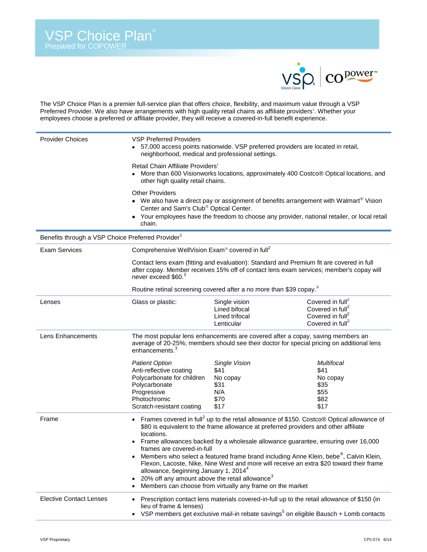

The VSP Choice Plan is a premier full-service plan that offers choice, flexibility, and maximum value through a VSP Preferred Provider. We also have arrangements with high quality retail chains as affiliate providers<sup>1</sup>. Whether your employees choose a preferred or affiliate provider, they will receive a covered-in-full benefit experience.

| <b>Provider Choices</b>                                       | <b>VSP Preferred Providers</b><br>57,000 access points nationwide. VSP preferred providers are located in retail,<br>neighborhood, medical and professional settings.                                                                                                                                                                                                                                                                                                                                                                                                                                                                                                                                                       |                                                                  |                                                                                                                              |  |
|---------------------------------------------------------------|-----------------------------------------------------------------------------------------------------------------------------------------------------------------------------------------------------------------------------------------------------------------------------------------------------------------------------------------------------------------------------------------------------------------------------------------------------------------------------------------------------------------------------------------------------------------------------------------------------------------------------------------------------------------------------------------------------------------------------|------------------------------------------------------------------|------------------------------------------------------------------------------------------------------------------------------|--|
|                                                               | Retail Chain Affiliate Providers <sup>1</sup><br>More than 600 Visionworks locations, approximately 400 Costco® Optical locations, and<br>other high quality retail chains.                                                                                                                                                                                                                                                                                                                                                                                                                                                                                                                                                 |                                                                  |                                                                                                                              |  |
|                                                               | <b>Other Providers</b><br>• We also have a direct pay or assignment of benefits arrangement with Walmart® Vision<br>Center and Sam's Club <sup>®</sup> Optical Center.<br>• Your employees have the freedom to choose any provider, national retailer, or local retail<br>chain.                                                                                                                                                                                                                                                                                                                                                                                                                                            |                                                                  |                                                                                                                              |  |
| Benefits through a VSP Choice Preferred Provider <sup>1</sup> |                                                                                                                                                                                                                                                                                                                                                                                                                                                                                                                                                                                                                                                                                                                             |                                                                  |                                                                                                                              |  |
| <b>Exam Services</b>                                          | Comprehensive WellVision Exam® covered in full <sup>2</sup>                                                                                                                                                                                                                                                                                                                                                                                                                                                                                                                                                                                                                                                                 |                                                                  |                                                                                                                              |  |
|                                                               | Contact lens exam (fitting and evaluation): Standard and Premium fit are covered in full<br>after copay. Member receives 15% off of contact lens exam services; member's copay will<br>never exceed \$60.3                                                                                                                                                                                                                                                                                                                                                                                                                                                                                                                  |                                                                  |                                                                                                                              |  |
|                                                               | Routine retinal screening covered after a no more than \$39 copay. <sup>3</sup>                                                                                                                                                                                                                                                                                                                                                                                                                                                                                                                                                                                                                                             |                                                                  |                                                                                                                              |  |
| Lenses                                                        | Glass or plastic:                                                                                                                                                                                                                                                                                                                                                                                                                                                                                                                                                                                                                                                                                                           | Single vision<br>Lined bifocal<br>Lined trifocal<br>Lenticular   | Covered in full <sup>2</sup><br>Covered in full <sup>2</sup><br>Covered in full <sup>2</sup><br>Covered in full <sup>2</sup> |  |
| <b>Lens Enhancements</b>                                      | The most popular lens enhancements are covered after a copay, saving members an<br>average of 20-25%; members should see their doctor for special pricing on additional lens<br>enhancements. <sup>3</sup>                                                                                                                                                                                                                                                                                                                                                                                                                                                                                                                  |                                                                  |                                                                                                                              |  |
|                                                               | <b>Patient Option</b><br>Anti-reflective coating<br>Polycarbonate for children<br>Polycarbonate<br>Progressive<br>Photochromic<br>Scratch-resistant coating                                                                                                                                                                                                                                                                                                                                                                                                                                                                                                                                                                 | Single Vision<br>\$41<br>No copay<br>\$31<br>N/A<br>\$70<br>\$17 | Multifocal<br>\$41<br>No copay<br>\$35<br>\$55<br>\$82<br>\$17                                                               |  |
| Frame                                                         | • Frames covered in full <sup>2</sup> up to the retail allowance of \$150. Costco <sup>®</sup> Optical allowance of<br>\$80 is equivalent to the frame allowance at preferred providers and other affiliate<br>locations.<br>Frame allowances backed by a wholesale allowance guarantee, ensuring over 16,000<br>frames are covered-in-full<br>Members who select a featured frame brand including Anne Klein, bebe <sup>®</sup> , Calvin Klein,<br>Flexon, Lacoste, Nike, Nine West and more will receive an extra \$20 toward their frame<br>allowance, beginning January 1, 2014 <sup>4</sup><br>20% off any amount above the retail allowance <sup>3</sup><br>Members can choose from virtually any frame on the market |                                                                  |                                                                                                                              |  |
| <b>Elective Contact Lenses</b>                                | Prescription contact lens materials covered-in-full up to the retail allowance of \$150 (in<br>lieu of frame & lenses)<br>VSP members get exclusive mail-in rebate savings <sup>5</sup> on eligible Bausch + Lomb contacts                                                                                                                                                                                                                                                                                                                                                                                                                                                                                                  |                                                                  |                                                                                                                              |  |